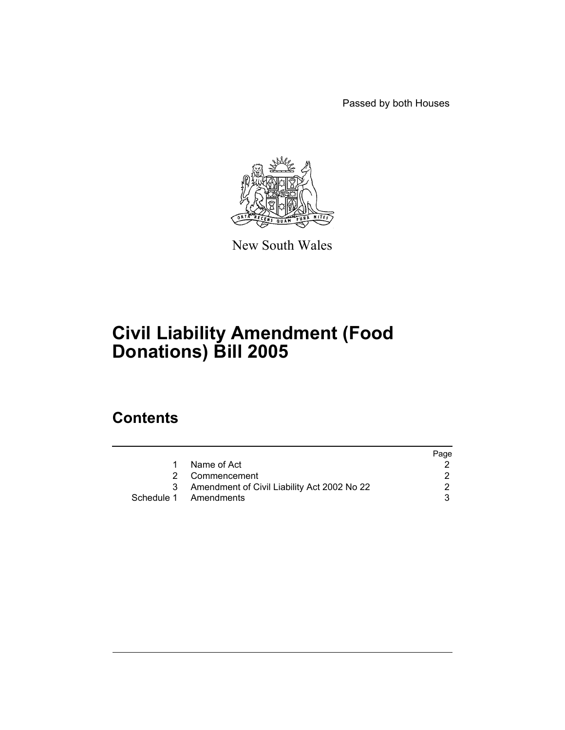Passed by both Houses



New South Wales

# **Civil Liability Amendment (Food Donations) Bill 2005**

# **Contents**

|                                             | Page |
|---------------------------------------------|------|
| Name of Act                                 |      |
| 2 Commencement                              |      |
| Amendment of Civil Liability Act 2002 No 22 |      |
| Schedule 1 Amendments                       |      |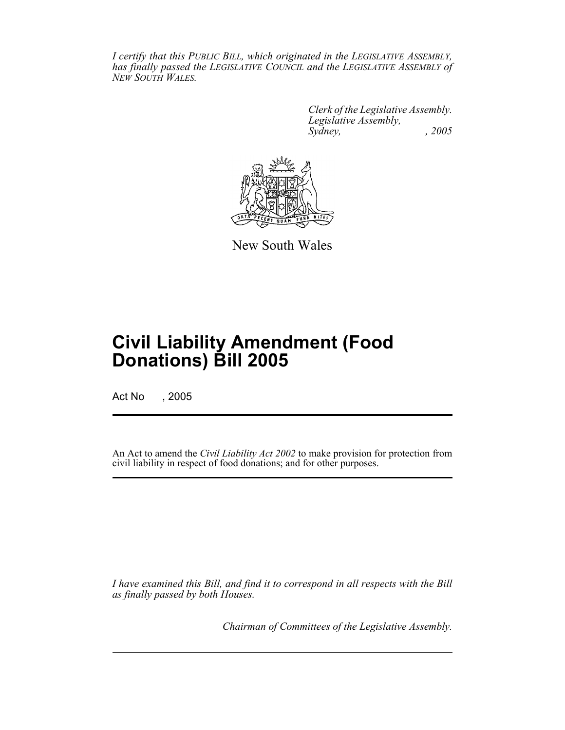*I certify that this PUBLIC BILL, which originated in the LEGISLATIVE ASSEMBLY, has finally passed the LEGISLATIVE COUNCIL and the LEGISLATIVE ASSEMBLY of NEW SOUTH WALES.*

> *Clerk of the Legislative Assembly. Legislative Assembly, Sydney, , 2005*



New South Wales

# **Civil Liability Amendment (Food Donations) Bill 2005**

Act No , 2005

An Act to amend the *Civil Liability Act 2002* to make provision for protection from civil liability in respect of food donations; and for other purposes.

*I have examined this Bill, and find it to correspond in all respects with the Bill as finally passed by both Houses.*

*Chairman of Committees of the Legislative Assembly.*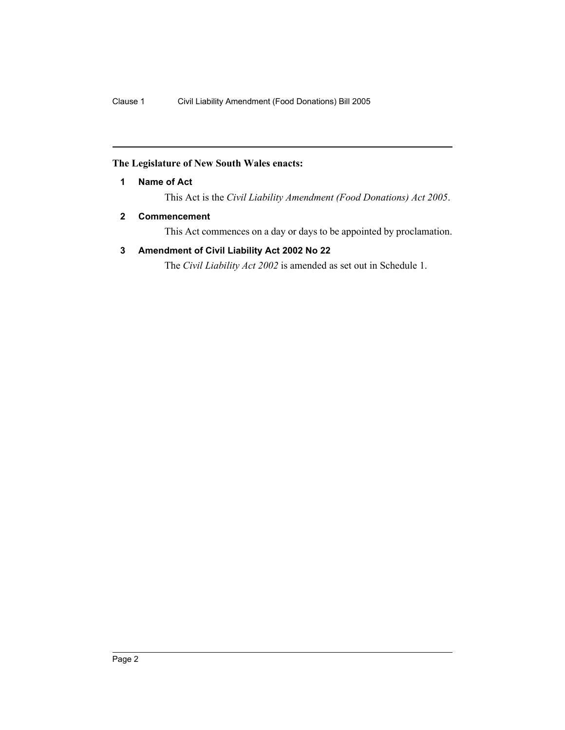### **The Legislature of New South Wales enacts:**

**1 Name of Act**

This Act is the *Civil Liability Amendment (Food Donations) Act 2005*.

#### **2 Commencement**

This Act commences on a day or days to be appointed by proclamation.

### **3 Amendment of Civil Liability Act 2002 No 22**

The *Civil Liability Act 2002* is amended as set out in Schedule 1.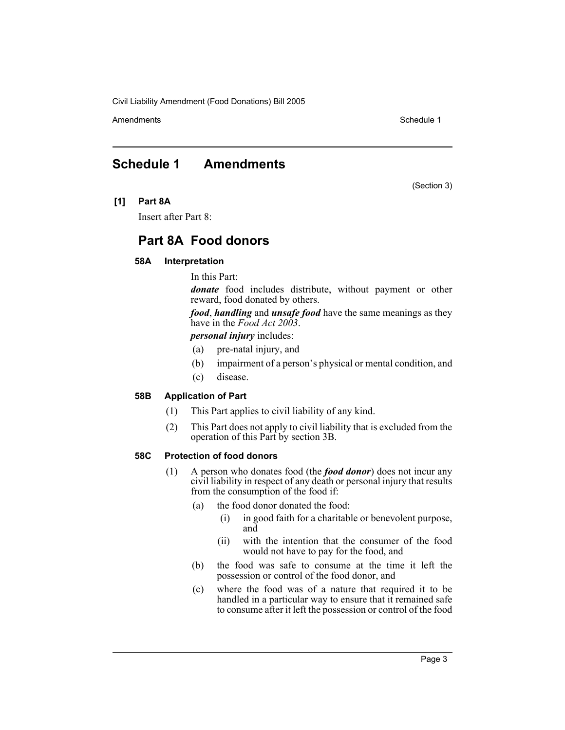Civil Liability Amendment (Food Donations) Bill 2005

Amendments **Amendments** Schedule 1

## **Schedule 1 Amendments**

(Section 3)

**[1] Part 8A**

Insert after Part 8:

## **Part 8A Food donors**

#### **58A Interpretation**

In this Part:

*donate* food includes distribute, without payment or other reward, food donated by others.

*food*, *handling* and *unsafe food* have the same meanings as they have in the *Food Act 2003*.

*personal injury* includes:

- (a) pre-natal injury, and
- (b) impairment of a person's physical or mental condition, and
- (c) disease.

#### **58B Application of Part**

- (1) This Part applies to civil liability of any kind.
- (2) This Part does not apply to civil liability that is excluded from the operation of this Part by section 3B.

#### **58C Protection of food donors**

- (1) A person who donates food (the *food donor*) does not incur any civil liability in respect of any death or personal injury that results from the consumption of the food if:
	- (a) the food donor donated the food:
		- (i) in good faith for a charitable or benevolent purpose, and
		- (ii) with the intention that the consumer of the food would not have to pay for the food, and
	- (b) the food was safe to consume at the time it left the possession or control of the food donor, and
	- (c) where the food was of a nature that required it to be handled in a particular way to ensure that it remained safe to consume after it left the possession or control of the food